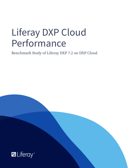# Liferay DXP Cloud Performance

Benchmark Study of Liferay DXP 7.2 on DXP Cloud

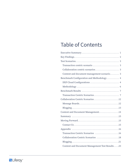# **Table of Contents**

| Collaboration centric scenarios 3               |
|-------------------------------------------------|
| Content and document management scenario 3      |
| Benchmark Configuration and Methodology 4       |
| DXP Cloud Configurations  4                     |
|                                                 |
|                                                 |
|                                                 |
| Collaboration Centric Scenarios 12              |
| Message Boards12                                |
|                                                 |
| Content and Document Management14               |
|                                                 |
|                                                 |
|                                                 |
|                                                 |
| Transaction Centric Scenarios 16                |
| Collaboration Centric Scenarios 18              |
|                                                 |
| Content and Document Management Test Results 23 |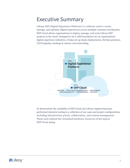### <span id="page-2-0"></span>Executive Summary

Liferay DXP (Digital Experience Platform) is a software used to create, manage, and optimize digital experiences across multiple customer touchpoints. DXP Cloud allows organizations to deploy, manage, and scale Liferay DXP projects in the cloud. Designed to be a solid foundation for an organization's digital experience initiatives, it helps set up elastic deployments, DevOps practices, CI/CD pipeline, backups & restore, and networking.



To demonstrate the scalability of DXP Cloud, the Liferay engineering team performed intensive testing in a collection of use cases and project configurations, including infrastructure portal, collaboration, and content management. These tests utilized the virtualized hardware resources of the typical DXP Cloud sizing.

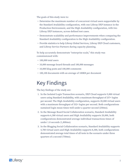<span id="page-3-0"></span>The goals of this study were to:

- Determine the maximum number of concurrent virtual users supportable by the Standard Availability configuration, with one Liferay DXP instance in the Production Environment, and the High Availability configuration, with two Liferay DXP instances, across defined test cases.
- Demonstrate scalability and performance improvements when comparing the Standard Availability configuration to the High Availability configuration.
- Provide statistics to help Liferay Global Services, Liferay DXP Cloud customers, and Liferay Service Partners during capacity planning.

To help accurately demonstrate "enterprise scale," this study was commissioned with:

- 100,000 total users
- 10,000 message board threads and 100,000 messages
- 10,000 blog posts and 100,000 comments
- 100,100 documents with an average of 100KB per document

# Key Findings

The key findings of the study are:

- 1. In the Isolated Login Transaction scenario, DXP Cloud supports 9,000 virtual users using Standard Availability, with a maximum throughput of 257+ logins per second. The High Availability configuration, supports 20,000 virtual users with a maximum throughput of 532+ logins per second. Both configurations sustained login mean times well under a quarter second (250ms).
- 2. In the Message Board Social Collaboration scenario, Standard Availability supports 6,300 virtual users and High Availability supports 20,000, both configurations demonstrated average individual transactions times of under 1.8 seconds (1,800ms).
- 3. In the Blogging Social Collaboration scenario, Standard Availability supports 4,700 virtual users and High Availability supports 8,300, both configurations demonstrated average total times of all tests in the scenario under three quarters of a second (750ms).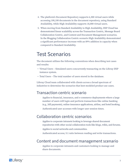- <span id="page-4-0"></span>4. The platform's Document Repository supports 6,300 virtual users while accessing 100,100 documents in the document repository, using Standard Availability, while High Availability supports 18,000 virtual users.
- 5. When moving from Standard Availability to High Availability, DXP Cloud has demonstrated linear scalability across the Transaction Centric, Message Board Collaboration Centric, and Content and Document Management scenarios. In the Blogging Collaboration Centric scenario High Availability demonstrated a significant performance increase with an 89% addition in capacity when compared to Standard Availability.

### Test Scenarios

The document utilizes the following conventions when describing test cases and results:

- Virtual Users Simulated users concurrently transacting on the Liferay DXP instance system.
- Total Users The total number of users stored in the database.

Liferay Cloud team collaborated with clients across a broad spectrum of industries to determine the scenarios that best-modeled product use cases.

#### Transaction centric scenario

- · Applies to financial, insurance, and e-commerce deployments where a large number of users will login and perform transactions like online banking (e.g., bill payments), online insurance applications, airline, and hotel booking.
- · Authenticated user accesses with longer user session times.

### Collaboration centric scenarios

- · Applies to corporate intranets looking to leverage shared document repositories with other social collaboration tools like blogs, wikis, and forums.
- · Applies to social networks and communities.
- · Authenticated access; 5:1 ratio between reading and write transactions.

#### Content and document management scenario

· Applies to corporate intranets and customers looking to manage and share documents.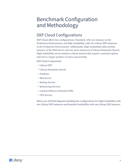# <span id="page-5-0"></span>Benchmark Configuration and Methodology

### DXP Cloud Configurations

DXP Cloud offers two configurations: Standard, with one instance in the Production Environment, and High Availability, with two Liferay DXP instances in the Production Environment. Additionally, High Availability adds another instance of the Web Server and two more instances of Liferay Enterprise Search. High Availability serves mission-critical systems that require continual uptime and serve a larger number of users concurrently.

DXP Cloud Components:

- Liferay DXP
- Liferay Enterprise Search
- Database
- Web Server
- Backup Service
- Monitoring Services
- Content Delivery Network (CDN)
- VPN Service

Below you will find diagrams detailing the configurations for High Availability with two Liferay DXP instances and Standard Availability with one Liferay DXP instance.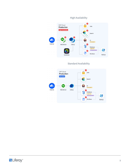

Standard Availability

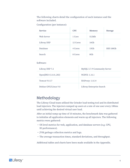<span id="page-7-0"></span>The following charts detail the configuration of each instance and the software included.

Configuration (per instance):

| <b>Service</b> | <b>CPU</b> | <b>Memory</b>   | <b>Storage</b> |
|----------------|------------|-----------------|----------------|
| Web Server     | 1 Core     | 512Mb           |                |
| Liferay DXP    | 12 Cores   | 16Gb            |                |
| Database       | 4 Cores    | 15Gb            | SSD 100Gb      |
| Search         | 8 Cores    | 8G <sub>b</sub> |                |

#### Software:

| Liferay DXP 7.2       | MySQL 5.7.9 Community Server |
|-----------------------|------------------------------|
| OpenJDK 8 (1.8.0_202) | NGINX: 1.16.1                |
| Tomcat 9.0.17         | HAProxy: 1.8.14              |
| Debian GNU/Linux 9.8  | Liferay Enterprise Search    |

### Methodology

The Liferay Cloud team utilized the Grinder load testing tool and its distributed load injectors. The injectors ramped up users at a rate of one user every 100ms until achieving the desired virtual user load.

After an initial ramp-up time of 10 minutes, the benchmark data was gathered to initialize all application elements and warm up all injectors. The following metrics were gathered:

- OS level metrics for web, application, and database servers (e.g. CPU, IO performance).
- JVM garbage collection metrics and logs.
- The average transaction times, standard deviations, and throughput.

Additional tables and charts have been made available in the Appendix.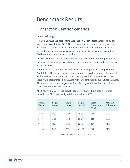# <span id="page-8-0"></span>Benchmark Results

### Transaction Centric Scenarios

#### Isolated Login

Isolated Login is the first of two Transaction Centric tests that focus on the login process of Liferay DXP. The login and permission retrieval processes are one of the most resource-intensive processes within the platform. At login, the platform must retrieve user and security information from the database and calculate authorizations.

We will examine Liferay DXP's performance with simple content portlets on the page. These portlets are extremely fast, lending average rendering times of less than 10ms.

Table 1 illustrates the performance observed during this test using Standard Availability. The mean time for login remained less than a tenth of a second as the performance inflection point was approached. At 9,000 virtual users, there was a mean time (μ) of 35.3ms with 95% of the logins (2σ) under 55.02ms. The optimal performance point with a relatively small standard deviation occurs around 9,562 virtual users.

At 10,000 virtual users, the established performance limit of this test was exceeded as CPU usage eclipsed the safe value of 80%.

| <b>Virtual</b><br><b>Users</b> | Login<br>$\mu$ (ms) | Login<br>$\sigma$ (ms) | Login<br>$2\sigma$ (ms) | Login<br>Throughput<br>(TPS) | <b>Max CPU</b><br><b>Utilization</b> |
|--------------------------------|---------------------|------------------------|-------------------------|------------------------------|--------------------------------------|
| 5000                           | 30.3                | 5.29                   | 40.88                   | 143                          | 37%                                  |
| 8000                           | 34.4                | 9.42                   | 53.24                   | 228                          | 68%                                  |
| 9000                           | 35.3                | 9.86                   | 55.02                   | 257                          | 71%                                  |
| 10000                          | 76.3                | 268                    | 612.30                  | 284                          | 87%                                  |

Table 1: Isolated Login - Standard Availability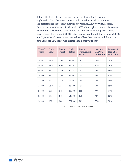Table 2 illustrates the performance observed during the tests using High Availability. The mean time for login remains less than 250ms as the performance inflection point was approached. At 20,000 virtual users, there was a mean time ( $\mu$ ) of 187ms with 95% of the logins (2 $\sigma$ ) under 883.00ms. The optimal performance point where the standard deviation passes 200ms occurs somewhere around 20,000 virtual users. Even though the tests with 23,000 and 25,000 virtual users have a mean time of less than one second, it must be noted that the CPU usage was greater than a safe value of 80%.

| <b>Virtual</b><br><b>Users</b> | Login<br>$\mu$ (ms) | Login<br>$\sigma$ (ms) | Login<br>$2\sigma$ (ms) | Login<br><b>Throughput</b><br>(TPS) | <b>Instance 1</b><br><b>Max CPU</b><br><b>Utilization</b> | <b>Instance 2</b><br><b>Max CPU</b><br><b>Utilization</b> |
|--------------------------------|---------------------|------------------------|-------------------------|-------------------------------------|-----------------------------------------------------------|-----------------------------------------------------------|
| 5000                           | 32.3                | 5.12                   | 42.54                   | 143                                 | 20%                                                       | 18%                                                       |
| 8000                           | 32.9                | 6.18                   | 45.26                   | 228                                 | 31%                                                       | 30%                                                       |
| 9000                           | 34.8                | 7.73                   | 50.26                   | 257                                 | 39%                                                       | 40%                                                       |
| 10000                          | 34.2                | 7.85                   | 49.90                   | 285                                 | 39%                                                       | 41%                                                       |
| 12500                          | 37.1                | 11.1                   | 59.30                   | 356                                 | 50%                                                       | 48%                                                       |
| 15000                          | 51.9                | 134                    | 319.90                  | 425                                 | 59%                                                       | 59%                                                       |
| 20000                          | 187                 | 348                    | 883.00                  | 532                                 | 79%                                                       | 77%                                                       |
| 23000                          | 160                 | 240                    | 640.00                  | 562                                 | 90%                                                       | 85%                                                       |
| 25000                          | 169                 | 285                    | 739.00                  | 539                                 | 77%                                                       | 93%                                                       |

Table 2: Isolated Login - High Availability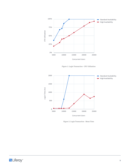

Figure 1: Login Transaction - CPU Utilization



Figure 2: Login Transaction - Mean Time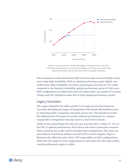

Figure 3: Login Transaction - Isolated Throughput - During peak load, near 100% CPU usage, the platform has an maximum throughput of 315 logins per second using Standard Availability and 539 logins per second using High Availability.

The benchmark results showed that DXP Cloud was able to exceed 20,000 virtual users using High Availability. With an optimal performance point slightly over 20,000 users, High Availability recorded a performance increase of 112% when compared to the Standard Availability optimal performance point of 9,562 users. Both configurations recorded mean times for logins under one-quarter of a second (250ms) and CPU utilization under 80% at their optimal performance points.

#### Legacy Simulator

The Legacy Simulator test adds a portlet to the login process that sleeps for 2 seconds, simulating the impact of integrations with systems like Salesforce.com or interacting with a company's enterprise service bus. The hypothesis is that the added portlet will impact the portal solution's performance in a manner comparable to integrations that may exist in a real-world scenario.

Unlike in the isolated login test, this test case was only able to utilize 40 - 44% of the CPU at optimal performance; this is due to the slower transaction response times caused by the portlet used to simulate legacy integrations. This issue can potentially be resolved by adding a second JVM to service requests. Figure 4 illustrates the inflection point where CPU usage spikes on both configurations. While the CPU usage for both configurations is well under the safe value of 80%, overall performance begins to suffer.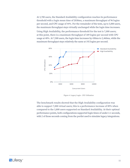At 3,700 users, the Standard Availability configuration reaches its performance threshold with a login mean time of 2030ms, a maximum throughput of 96 logins per second, and CPU usage of 44%. For the remainder of the tests, up to 5,000 users, the maximum throughput stays virtually unchanged while the login time increases.

Using High Availability, the performance threshold for the test is 7,000 users; at this point, there is a maximum throughput of 189 logins per second with CPU usage at 40%. At 7,500 users, the login time increases by 430ms to 2,460ms, while the maximum throughput stays relatively the same at 192 logins per second.



Figure 4: Legacy Login - CPU Utilization

The benchmark results showed that the High Availability configuration was able to support 7,000 virtual users; this is a performance increase of 89% when compared to the 3,800 users supported on Standard Availability. At their optimal performance points, both configurations supported login times of under 2.1 seconds, with 2 of those seconds coming from the portlet used to simulate legacy integrations.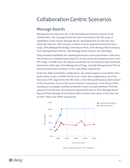### <span id="page-13-0"></span>Collaboration Centric Scenarios

#### Message Boards

Message Boards represent one of the foundational elements around social collaboration. The message board test cases demonstrate the full range of capabilities of the Liferay Message Board, simulating how an end-user may utilize the features. This scenario consists of seven separate transaction tests: Login, View Message Board Page, View Recent Posts, View Message Board Category, View Message Board Thread, Add Message Board Thread, and Add Reply.

Using Standard Availability the optimal performance point is just before 6,500 users, where there is a combined mean time of 2,763ms, across all transaction tests at 81% CPU usage. At 6,500 users, the system records sub-one second mean times across all transactions with Login, View Message Board Page, and Add Message Board Thread showing mean times of 460ms, 217ms, and 499ms respectively.

Under the High Availability configuration, the system begins to exceed the ideal performance point at 20,000 virtual users. Under this configuration, all of the tests had a CPU usage below the 80% limit, so the ideal performance point is based on the mean time of one of the more intensive transactions, View Recent Posts, reaching an acceptable usability threshold of three seconds (3040ms). With this amount of virtual users less intensive transactions such as View Message Board Page and View Message Board Thread still recorded mean times of less than one second, 795ms and 780ms respectively.



Figure 5: Message Board - CPU Utilization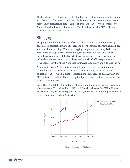<span id="page-14-0"></span>The benchmark results showed DXP Cloud on the High Availability configuration was able to handle 20,000 virtual users before transaction mean times exceeded acceptable performance limits. This is an increase of 208% when compared to Standard Availability, which reached 6,500 virtual users as it's CPU utilization exceeded the safe range of 80%.

#### Blogging

Blogging is another cornerstone of social collaboration. As with the message board cases, this test simulated the real end-user behaviors of browsing, reading, and contributing to blogs. While the blogging components in Liferay DXP reuse some of the Message Boards components, the performance does differ due to the reduced complexity of the Blogs features (e.g., no nested categories and thus reduced entitlement validation). This scenario consisted of five separate transaction tests: Login, View Blog Page, View Blog Entry, Add Blog Entry, and Add Blog Reply.

As shown in Figure 5, the statistics point to a performance inflection point of roughly 4,500 virtual users using Standard Availability, at this mark CPU utilization is 78%, which is close to exceeding the safe value of 80%. At 4,800 the CPU utilization reaches 95%, so the optimal performance point is determined to be 4,500 virtual users.

Using High Availability the system's inflection point is around 8,000 virtual users, where we see a CPU utilization of 72%. At 9,000 virtual users the CPU utilization recorded is 97%, far exceeding the safe value, therefore the optimal performance point is determined to be 8,500 virtual users.



Figure 6: Blogging - CPU Utilization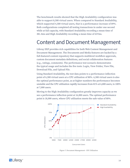<span id="page-15-0"></span>The benchmark results showed that the High Availability configuration was able to support 8,500 virtual users. When compared to Standard Availability, which supported 4,500 virtual users, that is a performance increase of 89%. Both configurations completed all testing transactions in under one second while at full capacity, with Standard Availability recording a mean time of 381.4ms and High Availability recording a mean time of 637ms.

### Content and Document Management

Liferay DXP provides rich capabilities for both Web Content Management and Document Management. The Documents and Media features are backed by a full-featured content repository that supports multilevel workflow approvals, custom document metadata definitions, and social collaboration features (e.g., ratings, comments). The performance test scenario demonstrates the typical usage and includes the five tests: Login, View Folder, View File, Download File, and Upload File.

Using Standard Availability, the test data points to a performance inflection point of 6,500 virtual users at a CPU utilization of 80%. 6,500 virtual users is also the optimal performance point, as at higher numbers the performance becomes unstable and the CPU utilization rapidly increases from 81% at 6,800 users, to 100% at 7,000 users.

Moving to the High Availability configuration greatly improves capacity as we see a performance inflection point at 16,000 users. The optimal performance point is 18,000 users, where CPU utilization meets the safe value of 80%.



Figure 7: Document Management - CPU Utilization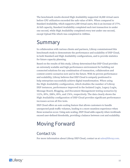<span id="page-16-0"></span>The benchmark results showed High Availability supported 18,000 virtual users before CPU utilization exceeded the safe value of 80%. When compared to Standard Availability, which supports 6,500 virtual users, this is an increase of 177%. At full capacity, Standard Availability completed each test transaction in under one second, while High Availability completed every test under one second, except Upload File which was completed in 1600ms.

### Summary

In collaboration with various clients and partners, Liferay commissioned this benchmark study to demonstrate the performance and scalability of DXP Cloud, in both Standard and High Availability configurations, and to provide statistics for future capacity planning.

Based on the results of this study, Liferay determined that DXP Cloud provides an extremely scalable and high performance environment for building out connected solutions for any combination of transaction, collaboration and content-centric scenarios now and in the future. With its proven performance and scalability, Liferay believes that DXP Cloud is uniquely positioned to help enterprises successfully achieve digital transformation. When using the High Availability configuration, which doubles the number of Liferay DXP instances, performance improved in the Isolated Login, Legacy Login, Message Board, Blogging, and Document Management testing scenarios by 112%, 89%, 208%, 89%, and 176%, respectively. The data clearly shows the High Availability configuration of DXP Cloud provides significant performance increases across all five tests.

DXP Cloud offers an auto scaling feature that allows customers to handle unexpected peak traffic volumes, leading to a more seamless experience when these scenarios occur. Using auto scaling, DXP Cloud adds capacity when workloads exceed user-defined thresholds, providing a balance between cost and scalability.

# Moving Forward

#### Contact Us

For more information about Liferay DXP Cloud, contact us at [sales@liferay.com.](sales@liferay.com)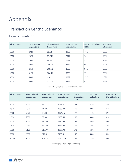# <span id="page-17-0"></span>Appendix

### Transaction Centric Scenarios

#### Legacy Simulator

| <b>Virtual Users</b> | <b>Time Delayed</b><br>Login $\mu$ (ms) | <b>Time Delayed</b><br>Login $\sigma$ (ms) | <b>Time Delayed</b><br>Login $2\sigma$ (ms) | Login Throughput<br>(TPS) | <b>Max CPU</b><br><b>Utilization</b> |
|----------------------|-----------------------------------------|--------------------------------------------|---------------------------------------------|---------------------------|--------------------------------------|
| 3000                 | 2020                                    | 22.81                                      | 2066                                        | 76.5                      | 35%                                  |
| 3500                 | 2020                                    | 39.672                                     | 2099                                        | 90                        | 42%                                  |
| 3600                 | 2030                                    | 40.97                                      | 2112                                        | 93                        | 43%                                  |
| 3700                 | 2030                                    | 240.96                                     | 2512                                        | 96                        | 44%                                  |
| 3800                 | 2460                                    | 109.91                                     | 2680                                        | 97.5                      | 58%                                  |
| 4000                 | 3120                                    | 106.72                                     | 3333                                        | 97                        | 60%                                  |
| 4500                 | 6090                                    | 116                                        | 6322                                        | 97.5                      | 60%                                  |
| 5000                 | 9050                                    | 122.09                                     | 9294                                        | 98                        | 72%                                  |

Table 3: Legacy Login - Standard Availability

| <b>Virtual Users</b> | <b>Time Delayed</b><br>Login $\mu$ (ms) | <b>Time Delayed</b><br>Login $\sigma$ (ms) | <b>Time Delayed</b><br>Login $2\sigma$ (ms) | Login<br>Throughput<br>(TPS) | <b>Max CPU</b><br><b>Utilization</b> | <b>Instance 2 Max</b><br><b>CPU Utilization</b> |
|----------------------|-----------------------------------------|--------------------------------------------|---------------------------------------------|------------------------------|--------------------------------------|-------------------------------------------------|
| 3000                 | 2020                                    | 16.7                                       | 2053.4                                      | 128                          | 31%                                  | 28%                                             |
| 4500                 | 2020                                    | 21.89                                      | 2063.78                                     | 150                          | 32%                                  | 35%                                             |
| 5500                 | 2020                                    | 38.08                                      | 2096.16                                     | 177                          | 41%                                  | 37%                                             |
| 6000                 | 2030                                    | 39.33                                      | 2108.66                                     | 183                          | 38%                                  | 42%                                             |
| 7000                 | 2030                                    | 120.48                                     | 2270.96                                     | 189                          | 44%                                  | 40%                                             |
| 7500                 | 2460                                    | 637.47                                     | 3734.94                                     | 192                          | 58%                                  | 52%                                             |
| 8000                 | 3120                                    | 618.97                                     | 4357.94                                     | 191                          | 54%                                  | 60%                                             |
| 9000                 | 6090                                    | 672.8                                      | 7435.6                                      | 192                          | 60%                                  | 54%                                             |
| 10000                | 9050                                    | 708.12                                     | 10466.24                                    | 193                          | 72%                                  | 65%                                             |

Table 4: Legacy Login - High Availability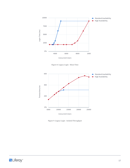

Figure 8: Legacy Login - Mean Time



Figure 9: Legacy Login - Isolated Throughput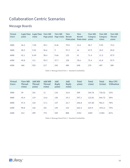### <span id="page-19-0"></span>Collaboration Centric Scenarios

#### Message Boards

| <b>Virtual</b><br><b>Users</b> | Login Time<br>$\mu$ (ms) | Login Time<br>$\sigma$ (ms) | <b>View MB</b><br>Page $\mu$ (ms) | <b>View MB</b><br>Page $\sigma$ (ms) | <b>View</b><br>Recent<br>Posts $\mu$ (ms) | <b>View</b><br>Recent<br>Posts $\sigma$ (ms) | <b>View MB</b><br>Category<br>$\mu$ (ms) | <b>View MB</b><br>Category<br>$\sigma$ (ms) | <b>View MB</b><br><b>Thread</b><br>$\mu$ (ms) |
|--------------------------------|--------------------------|-----------------------------|-----------------------------------|--------------------------------------|-------------------------------------------|----------------------------------------------|------------------------------------------|---------------------------------------------|-----------------------------------------------|
| 3000                           | 36.2                     | 7.05                        | 49.1                              | 8.36                                 | 79.8                                      | 12.6                                         | 58.7                                     | 9.95                                        | 74.2                                          |
| 4000                           | 40.5                     | 9.01                        | 56.6                              | 9                                    | 97.3                                      | 16                                           | 67.9                                     | 10.5                                        | 85.8                                          |
| 6000                           | 42.1                     | 8.49                        | 58.4                              | 9.66                                 | 125                                       | 41                                           | 71.4                                     | 11.5                                        | 87.9                                          |
| 6300                           | 49.8                     | 111                         | 59.3                              | 57.7                                 | 128                                       | 78.6                                         | 72.4                                     | 61.8                                        | 87.9                                          |
| 6500                           | 460                      | 925                         | 217                               | 345                                  | 489                                       | 698                                          | 270                                      | 407                                         | 289                                           |

Table 5: Message Board Part 1 - Standard Availability

| <b>Virtual</b><br><b>Users</b> | <b>View MB</b><br><b>Thread</b><br>$\sigma$ (ms) | <b>Add MB</b><br><b>Thread</b><br>$\mu$ (ms) | <b>Add MB</b><br><b>Thread</b><br>$\sigma$ (ms) | Add<br><b>Reply</b><br>$\mu$ (ms) | Add<br><b>Reply</b><br>$\sigma$ (ms) | <b>Total</b><br>$\mu$ (ms) | <b>Total</b><br>$\sigma$ (ms) | <b>Total</b><br>$2\sigma$ (ms) | <b>Max CPU</b><br><b>Utilization</b> |
|--------------------------------|--------------------------------------------------|----------------------------------------------|-------------------------------------------------|-----------------------------------|--------------------------------------|----------------------------|-------------------------------|--------------------------------|--------------------------------------|
| 3000                           | 39                                               | 101                                          | 11                                              | 110                               | 16.8                                 | 509                        | 104.76                        | 718.52                         | 33%                                  |
| 4000                           | 45.4                                             | 119                                          | 14.6                                            | 130                               | 19.3                                 | 597.1                      | 123.81                        | 844.72                         | 50%                                  |
| 6000                           | 47.4                                             | 125                                          | 17.1                                            | 137                               | 22.7                                 | 646.8                      | 157.85                        | 962.5                          | 78%                                  |
| 6300                           | 90.8                                             | 126                                          | 101                                             | 139                               | 124                                  | 662.4                      | 624.9                         | 1912.2                         | 75%                                  |
| 6500                           | 413                                              | 499                                          | 773                                             | 539                               | 808                                  | 2763                       | 4369                          | 11501                          | 81%                                  |

Table 6: Message Board Part 2 - Standard Availability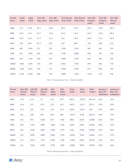| <b>Virtual</b><br><b>Users</b> | Login<br>$\mu$ (ms) | Login<br>$\sigma$ (ms) | <b>View MB</b><br>Page $\mu$ (ms) | <b>View MB</b><br>Page $\sigma$ (ms) | <b>View Recent</b><br>Posts $\mu$ (ms) | <b>View Recent</b><br>Posts $\sigma$ (ms) | <b>View MB</b><br>Category<br>$\mu$ (ms) | <b>View MB</b><br>Category<br>$\sigma$ (ms) | <b>View MB</b><br><b>Thread</b><br>$\mu$ (ms) |
|--------------------------------|---------------------|------------------------|-----------------------------------|--------------------------------------|----------------------------------------|-------------------------------------------|------------------------------------------|---------------------------------------------|-----------------------------------------------|
| 3000                           | 41.7                | 8.42                   | 55.1                              | 8.86                                 | 98.6                                   | 18.9                                      | 64.9                                     | 8.89                                        | 86.8                                          |
| 4000                           | 40.3                | 15.4                   | 53.7                              | 16.6                                 | 94.2                                   | 26.3                                      | 64.2                                     | 18.8                                        | 80.5                                          |
| 6000                           | 43.9                | 10.1                   | 57.7                              | 11.1                                 | 123                                    | 39.5                                      | 69.8                                     | 13.1                                        | 86.8                                          |
| 6300                           | 138                 | 584                    | 92.7                              | 225                                  | 333                                    | 889                                       | 122                                      | 286                                         | 122                                           |
| 6500                           | 584                 | 1390                   | 271                               | 525                                  | 1340                                   | 1910                                      | 407                                      | 681                                         | 319                                           |
| 7000                           | 821                 | 1630                   | 369                               | 630                                  | 1790                                   | 2080                                      | 550                                      | 787                                         | 418                                           |
| 8000                           | 994                 | 1720                   | 465                               | 674                                  | 1980                                   | 1970                                      | 623                                      | 796                                         | 474                                           |
| 18000                          | 1660                | 1940                   | 735                               | 734                                  | 3010                                   | 1760                                      | 945                                      | 846                                         | 776                                           |
| 20000                          | 1750                | 1870                   | 795                               | 731                                  | 3040                                   | 1690                                      | 977                                      | 809                                         | 780                                           |
| 25000                          | 2170                | 1920                   | 956                               | 734                                  | 3580                                   | 1260                                      | 1170                                     | 775                                         | 946                                           |

Table 7: Message Board Part 1 - High Availability

| <b>Virtual</b><br><b>Users</b> | <b>View MB</b><br><b>Thread</b><br>$\sigma$ (ms) | <b>Add MB</b><br><b>Thread</b><br>$\mu$ (ms) | <b>Add MB</b><br><b>Thread</b><br>$\sigma$ (ms) | Add<br><b>Reply</b><br>$\mu$ (ms) | Add<br><b>Reply</b><br>$\sigma$ (ms) | <b>Total</b><br>$\mu$ (ms) | <b>Total</b><br>$\sigma$ (ms) | <b>Total</b><br>$2\sigma$ (ms) | <b>Instance 1</b><br><b>Max CPU</b><br><b>Utilization</b> | <b>Instance 2</b><br><b>Max CPU</b><br><b>Utilization</b> |
|--------------------------------|--------------------------------------------------|----------------------------------------------|-------------------------------------------------|-----------------------------------|--------------------------------------|----------------------------|-------------------------------|--------------------------------|-----------------------------------------------------------|-----------------------------------------------------------|
| 3000                           | 47.5                                             | 124                                          | 15                                              | 134                               | 20.7                                 | 605.1                      | 128.27                        | 861.64                         | 20%                                                       | 19%                                                       |
| 4000                           | 44.6                                             | 111                                          | 14.9                                            | 122                               | 18.1                                 | 565.9                      | 154.7                         | 875.3                          | 25%                                                       | 24%                                                       |
| 6000                           | 47.3                                             | 122                                          | 18.5                                            | 135                               | 23.3                                 | 638.2                      | 162.9                         | 964                            | 41%                                                       | 40%                                                       |
| 6300                           | 232                                              | 258                                          | 694                                             | 250                               | 608                                  | 1315.7                     | 3518                          | 8351.7                         | 39%                                                       | 37%                                                       |
| 6500                           | 533                                              | 954                                          | 1580                                            | 927                               | 1520                                 | 4802                       | 8139                          | 21080                          | 51%                                                       | 45%                                                       |
| 7000                           | 628                                              | 1410                                         | 1890                                            | 1280                              | 1750                                 | 6638                       | 9395                          | 25428                          | 48%                                                       | 47%                                                       |
| 8000                           | 655                                              | 1620                                         | 1850                                            | 1480                              | 1770                                 | 7636                       | 9435                          | 26506                          | 45%                                                       | 44%                                                       |
| 18000                          | 764                                              | 2690                                         | 1890                                            | 2260                              | 1770                                 | 12076                      | 9704                          | 31484                          | 57%                                                       | 57%                                                       |
| 20000                          | 716                                              | 2670                                         | 1770                                            | 2390                              | 1700                                 | 12402                      | 9286                          | 30974                          | 44%                                                       | 41%                                                       |
| 25000                          | 716                                              | 3330                                         | 1550                                            | 2730                              | 1550                                 | 14882                      | 8505                          | 31892                          | 58%                                                       | 44%                                                       |

Table 8: Message Board Part 2 - High Availability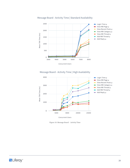

#### Message Board - Activity Time | Standard Availability

#### Message Board - Activity Time | High Availability



Figure 10: Message Board - Activity Time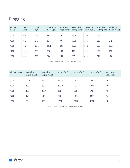### <span id="page-22-0"></span>Blogging

| <b>Virtual</b><br><b>Users</b> | Login<br>$\mu$ (ms) | Login<br>$\sigma$ (ms) | <b>View Blog</b><br>Page $\mu$ (ms) | <b>View Blog</b><br>Page $\sigma$ (ms) | <b>View Blog</b><br>Entry $\mu$ (ms) | <b>View Blog</b><br>Entry $\sigma$ (ms) | <b>Add Blog</b><br>Entry $\mu$ (ms) | <b>Add Blog</b><br>Entry $\sigma$ (ms) |
|--------------------------------|---------------------|------------------------|-------------------------------------|----------------------------------------|--------------------------------------|-----------------------------------------|-------------------------------------|----------------------------------------|
| 3000                           | 39.4                | 9.01                   | 68.2                                | 10.7                                   | 58.8                                 | 12.4                                    | 105                                 | 11.9                                   |
| 4000                           | 59.1                | 170                    | 81                                  | 89.7                                   | 75.8                                 | 112                                     | 123                                 | 142                                    |
| 4500                           | 40.8                | 28.1                   | 69.1                                | 23.5                                   | 60.5                                 | 30.5                                    | 106                                 | 31.7                                   |
| 4700                           | 123                 | 330                    | 113                                 | 158                                    | 119                                  | 198                                     | 182                                 | 272                                    |
| 4800                           | 258                 | 536                    | 186                                 | 254                                    | 205                                  | 305                                     | 294                                 | 428                                    |

Table 9: Blogging Part 1 - Standard Availability

| <b>Virtual Users</b> | <b>Add Blog</b><br>Reply $\mu$ (ms) | <b>Add Blog</b><br>Reply $\sigma$ (ms) | Total $\mu$ (ms) | Total $\sigma$ (ms) | Total $2\sigma$ (ms) | <b>Max CPU</b><br><b>Utilization</b> |
|----------------------|-------------------------------------|----------------------------------------|------------------|---------------------|----------------------|--------------------------------------|
| 3000                 | 99.3                                | 14.4                                   | 370.7            | 58.41               | 487.52               | 50%                                  |
| 4000                 | 122                                 | 152                                    | 460.9            | 665.7               | 1792.3               | 70%                                  |
| 4500                 | 105                                 | 40.7                                   | 381.4            | 154.5               | 690.4                | 78%                                  |
| 4700                 | 194                                 | 315                                    | 731              | 1273                | 3277                 | 76%                                  |
| 4800                 | 324                                 | 488                                    | 1267             | 2011                | 5289                 | 95%                                  |

Table 10: Blogging Part 2 - Standard Availability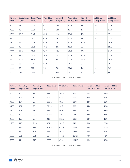| <b>Virtual</b><br><b>Users</b> | <b>Login Time</b><br>$\mu$ (ms) | <b>Login Time</b><br>$\sigma$ (ms) | <b>View Blog</b><br>Page $\mu$ (ms) | <b>View MB</b><br>Blog $\sigma$ (ms) | <b>View Blog</b><br>Entry $\mu$ (ms) | <b>View Blog</b><br>Entry $\sigma$ (ms) | <b>Add Blog</b><br>Entry $\mu$ (ms) | <b>Add Blog</b><br>Entry $\sigma$ (ms) |
|--------------------------------|---------------------------------|------------------------------------|-------------------------------------|--------------------------------------|--------------------------------------|-----------------------------------------|-------------------------------------|----------------------------------------|
| 3000                           | 41.3                            | 12.0                               | 68.4                                | 14.0                                 | 61.2                                 | 16.7                                    | 109                                 | 13.6                                   |
| 4000                           | 43.6                            | 11.3                               | 70.9                                | 12.9                                 | 63                                   | 17                                      | 112                                 | 21.4                                   |
| 4500                           | 46.7                            | 14.5                               | 62.9                                | 11.5                                 | 59.6                                 | 16.4                                    | 107                                 | 17                                     |
| 4700                           | 50                              | 18                                 | 69.1                                | 14.3                                 | 61.5                                 | 21.1                                    | 109                                 | 17.8                                   |
| 4800                           | 47.8                            | 17.2                               | 65.1                                | 16.3                                 | 61.7                                 | 19.9                                    | 111                                 | 16.1                                   |
| 5000                           | 42                              | 18.2                               | 70.6                                | 20.1                                 | 62.3                                 | 25                                      | 111                                 | 29.2                                   |
| 6000                           | 44.6                            | 17.8                               | 73.6                                | 18.5                                 | 65.3                                 | 25.9                                    | 116                                 | 24.8                                   |
| 6200                           | 44.9                            | 16.7                               | 74.4                                | 17.7                                 | 65.8                                 | 23.5                                    | 118                                 | 25.2                                   |
| 6500                           | 50.5                            | 99.2                               | 78.8                                | 57.3                                 | 71.2                                 | 72.5                                    | 123                                 | 80.2                                   |
| 7000                           | 55.8                            | 114                                | 84.1                                | 65                                   | 78.1                                 | 87.4                                    | 133                                 | 101                                    |
| 8000                           | 76.4                            | 188                                | 103                                 | 96.6                                 | 97.6                                 | 120                                     | 159                                 | 161                                    |
| 9000                           | 672                             | 1060                               | 379                                 | 456                                  | 385                                  | 499                                     | 621                                 | 802                                    |

Table 11: Blogging Part 1 - High Availability

| <b>Virtual</b><br><b>Users</b> | <b>Add Blog</b><br>Reply $\mu$ (ms) | <b>Add Blog</b><br>Reply $\sigma$ (ms) | Total $\mu$ (ms) | Total $\sigma$ (ms) | Total $2\sigma$ (ms) | <b>Instance 1 Max</b><br><b>CPU Utilization</b> | <b>Instance 2 Max</b><br><b>CPU Utilization</b> |
|--------------------------------|-------------------------------------|----------------------------------------|------------------|---------------------|----------------------|-------------------------------------------------|-------------------------------------------------|
| 3000                           | 100                                 | 18.8                                   | 172              | 269.4               | 710.8                | 27%                                             | 27%                                             |
| 4000                           | 108                                 | 19.2                                   | 397.5            | 81.8                | 561.1                | 40%                                             | 35%                                             |
| 4500                           | 104                                 | 20.4                                   | 380.2            | 79.8                | 539.8                | 40%                                             | 36%                                             |
| 4700                           | 107                                 | 23                                     | 396.6            | 94.2                | 585                  | 44%                                             | 40%                                             |
| 4800                           | 108                                 | 21.3                                   | 393.6            | 90.8                | 575.2                | 40%                                             | 44%                                             |
| 5000                           | 107                                 | 28.2                                   | 392.9            | 120.7               | 634.3                | 42%                                             | 43%                                             |
| 6000                           | 120                                 | 28.9                                   | 419.5            | 115.9               | 651.3                | 53%                                             | 46%                                             |
| 6200                           | 118                                 | 26.8                                   | 421.1            | 109.9               | 640.9                | 58%                                             | 60%                                             |
| 6500                           | 128                                 | 114                                    | 451.5            | 423.2               | 1297.9               | 59%                                             | 50%                                             |
| 7000                           | 137                                 | 125                                    | 488              | 492.4               | 1472.8               | 66%                                             | 61%                                             |
| 8000                           | 201                                 | 201                                    | 637              | 766.6               | 2170.2               | 70%                                             | 72%                                             |
| 9000                           | 776                                 | 973                                    | 2833             | 3790                | 10413                | 83%                                             | 97%                                             |

Table 12: Blogging Part 2 - High Availability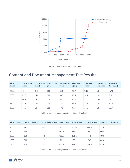<span id="page-24-0"></span>

Figure 11: Blogging | All Tests - Total Time

### Content and Document Management Test Results

| <b>Virtual</b><br><b>Users</b> | <b>Login Time</b><br>$\mu$ (ms) | <b>Login Time</b><br>$\sigma$ (ms) | <b>View Folder</b><br>$\mu$ (ms) | <b>View Folder</b><br>$\sigma$ (ms) | <b>View File</b><br>$\mu$ (ms) | <b>View File</b><br>$\sigma$ (ms) | Download<br>File $\mu$ (ms) | Download<br>File $\sigma$ (ms) |
|--------------------------------|---------------------------------|------------------------------------|----------------------------------|-------------------------------------|--------------------------------|-----------------------------------|-----------------------------|--------------------------------|
| 4500                           | 43                              | 8.62                               | 108                              | 28.5                                | 45.7                           | 9.17                              | 14                          | 4.94                           |
| 5000                           | 42.9                            | 14.4                               | 108                              | 33.9                                | 45.5                           | 14.1                              | 13.5                        | 7.01                           |
| 6000                           | 44.1                            | 14                                 | 114                              | 39                                  | 46.9                           | 13.5                              | 14.6                        | 14                             |
| 6500                           | 57.1                            | 169                                | 130                              | 122                                 | 53.9                           | 77.5                              | 19                          | 67.5                           |
| 6800                           | 46.8                            | 18.7                               | 125                              | 53.9                                | 49.4                           | 17.8                              | 14.4                        | 7.57                           |

Table 13: Document Management Part 1 - Standard Availability

| <b>Virtual Users</b> | Upload File $\mu$ (ms) Upload File $\sigma$ (ms) |      | Total $\mu$ (ms) | Total $\sigma$ (ms) | Total $2\sigma$ (ms) | <b>Max CPU Utilization</b> |
|----------------------|--------------------------------------------------|------|------------------|---------------------|----------------------|----------------------------|
| 4500                 | 173                                              | 34.6 | 383.7            | 85.83               | 555.36               | 55%                        |
| 5000                 | 173                                              | 43.7 | 382.9            | 113.11              | 609.12               | 60%                        |
| 6000                 | 184                                              | 50.6 | 403.6            | 131.1               | 665.8                | 69%                        |
| 6500                 | 211                                              | 197  | 471              | 633                 | 1737                 | 80%                        |
| 6800                 | 202                                              | 73.3 | 437.6            | 171.27              | 780.14               | 81%                        |

Table 14: Document Management Part 2 - Standard Availability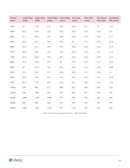| <b>Virtual</b><br><b>Users</b> | <b>Login Time</b><br>$\mu$ (ms) | Login Time<br>$\sigma$ (ms) | $\mu$ (ms) | View Folder View Folder<br>$\sigma$ (ms) | <b>View File</b><br>$\mu$ (ms) | <b>View File</b><br>$\sigma$ (ms) | <b>Download</b><br>File $\mu$ (ms) | Download<br>File $\sigma$ (ms) |
|--------------------------------|---------------------------------|-----------------------------|------------|------------------------------------------|--------------------------------|-----------------------------------|------------------------------------|--------------------------------|
| 4500                           | 47                              | 7.69                        | 114        | 30.3                                     | 48.4                           | 8.8                               | 15                                 | 4.77                           |
| 5000                           | 52.2                            | 9.39                        | 134        | 36.7                                     | 54.2                           | 10.4                              | 15.8                               | 5.3                            |
| 6000                           | 53                              | 28.6                        | 133        | 45.8                                     | 54.6                           | 22.2                              | 16.2                               | 12.7                           |
| 6500                           | 55.6                            | 47.1                        | 146        | 63.2                                     | 58                             | 34.7                              | 17.6                               | 24.8                           |
| 6800                           | 54.6                            | 31.1                        | 143        | 54.2                                     | 55.6                           | 23.6                              | 17.1                               | 15.9                           |
| 7000                           | 48.8                            | 22.6                        | 126        | 45.9                                     | 50.6                           | 19.2                              | 15.6                               | 11.3                           |
| 7500                           | 52.5                            | 28.3                        | 145        | 58.1                                     | 55.4                           | 26.6                              | 16.5                               | 15.6                           |
| 8000                           | 47.6                            | 13.2                        | 127        | 40                                       | 49.7                           | 13.5                              | 15.1                               | 6.53                           |
| 8500                           | 48                              | 19.7                        | 133        | 47.1                                     | 50.9                           | 17.5                              | 15.9                               | 8.68                           |
| 9200                           | 47.1                            | 36.1                        | 137        | 60.5                                     | 50.5                           | 27.3                              | 15.8                               | 13                             |
| 9500                           | 52.8                            | 38.2                        | 153        | 71.6                                     | 55.7                           | 29.2                              | 17.1                               | 14.8                           |
| 9900                           | 50.9                            | 17.9                        | 158        | 72.6                                     | 54.1                           | 18.9                              | 16.4                               | 7.75                           |
| 10000                          | 294                             | 584                         | 577        | 580                                      | 182                            | 260                               | 105                                | 213                            |
| 12000                          | 836                             | 1060                        | 919        | 734                                      | 389                            | 417                               | 304                                | 379                            |
| 16000                          | 1080                            | 1180                        | 1080       | 737                                      | 502                            | 478                               | 320                                | 399                            |
| 18000                          | 826                             | 985                         | 936        | 674                                      | 470                            | 451                               | 338                                | 387                            |
| 21000                          | 1580                            | 1230                        | 1440       | 599                                      | 710                            | 487                               | 437                                | 433                            |

Table 15: Document Management Part 1 - High Availability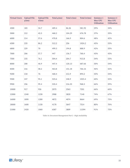| <b>Virtual Users</b> | <b>Upload File</b><br>$\mu$ (ms) | <b>Upload File</b><br>$\sigma$ (ms) | Total $\mu$ (ms) | Total $\sigma$ (ms) | Total $2\sigma$ (ms) | <b>Instance 1</b><br><b>Max CPU</b><br><b>Utilization</b> | <b>Instance 2</b><br><b>Max CPU</b><br><b>Utilization</b> |
|----------------------|----------------------------------|-------------------------------------|------------------|---------------------|----------------------|-----------------------------------------------------------|-----------------------------------------------------------|
| 4500                 | 185                              | 34.7                                | 409.4            | 86.26               | 581.92               | 29%                                                       | 34%                                                       |
| 5000                 | 212                              | 42.5                                | 468.2            | 104.29              | 676.78               | 37%                                                       | 35%                                                       |
| 6000                 | 214                              | 57.6                                | 470.8            | 166.9               | 804.6                | 48%                                                       | 42%                                                       |
| 6500                 | 235                              | 86.2                                | 512.2            | 256                 | 1024.2               | 45%                                                       | 53%                                                       |
| 6800                 | 229                              | 70                                  | 499.3            | 194.8               | 888.9                | 42%                                                       | 55%                                                       |
| 7000                 | 206                              | 57.7                                | 447              | 156.7               | 760.4                | 43%                                                       | 43%                                                       |
| 7500                 | 235                              | 76.1                                | 504.4            | 204.7               | 913.8                | 54%                                                       | 53%                                                       |
| 8000                 | 208                              | 46.9                                | 447.4            | 120.13              | 687.66               | 50%                                                       | 54%                                                       |
| 8500                 | 216                              | 58.2                                | 463.8            | 151.18              | 766.16               | 46%                                                       | 52%                                                       |
| 9200                 | 218                              | 76                                  | 468.4            | 212.9               | 894.2                | 55%                                                       | 54%                                                       |
| 9500                 | 247                              | 95.1                                | 525.6            | 248.9               | 1023.4               | 60%                                                       | 52%                                                       |
| 9900                 | 256                              | 99.4                                | 535.4            | 216.55              | 968.5                | 66%                                                       | 59%                                                       |
| 10000                | 917                              | 926                                 | 2075             | 2563                | 7201                 | 66%                                                       | 60%                                                       |
| 12000                | 1540                             | 1230                                | 3988             | 3820                | 7140                 | 74%                                                       | 67%                                                       |
| 16000                | 1890                             | 1280                                | 4872             | 4074                | 8664                 | 69%                                                       | 75%                                                       |
| 18000                | 1600                             | 1150                                | 4170             | 3647                | 7514                 | 80%                                                       | 70%                                                       |
| 21000                | 2420                             | 1060                                | 6587             | 3809                | 11594                | 91%                                                       | 75%                                                       |

Table 16: Document Management Part 2 - High Availability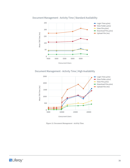#### Document Management - Activity Time | Standard Availability



#### Document Management - Activity Time | High Availability



Figure 12: Document Management - Activity Time